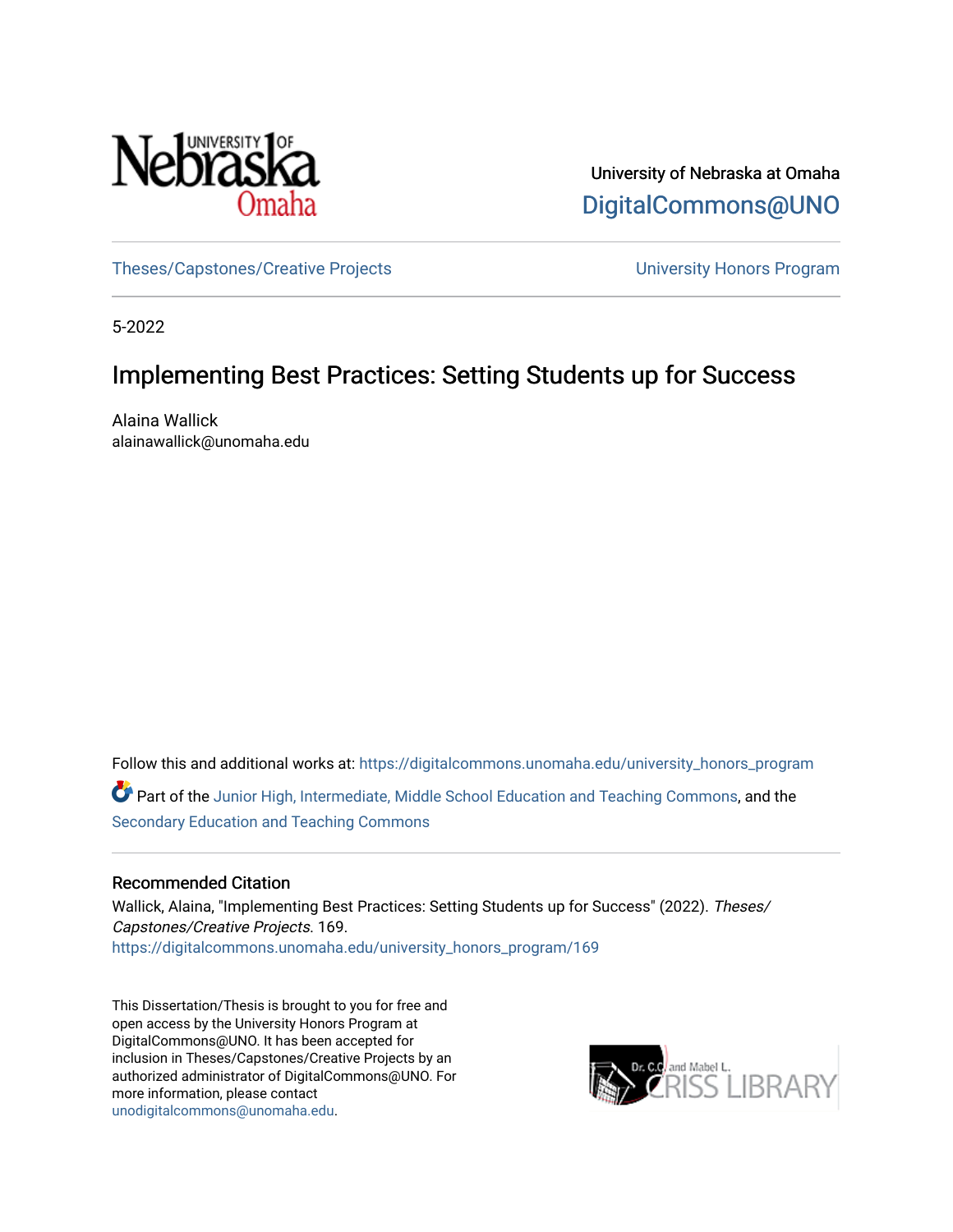

University of Nebraska at Omaha [DigitalCommons@UNO](https://digitalcommons.unomaha.edu/) 

[Theses/Capstones/Creative Projects](https://digitalcommons.unomaha.edu/university_honors_program) [University Honors Program](https://digitalcommons.unomaha.edu/honors_community) 

5-2022

# Implementing Best Practices: Setting Students up for Success

Alaina Wallick alainawallick@unomaha.edu

Follow this and additional works at: [https://digitalcommons.unomaha.edu/university\\_honors\\_program](https://digitalcommons.unomaha.edu/university_honors_program?utm_source=digitalcommons.unomaha.edu%2Funiversity_honors_program%2F169&utm_medium=PDF&utm_campaign=PDFCoverPages)

Part of the [Junior High, Intermediate, Middle School Education and Teaching Commons](http://network.bepress.com/hgg/discipline/807?utm_source=digitalcommons.unomaha.edu%2Funiversity_honors_program%2F169&utm_medium=PDF&utm_campaign=PDFCoverPages), and the [Secondary Education and Teaching Commons](http://network.bepress.com/hgg/discipline/809?utm_source=digitalcommons.unomaha.edu%2Funiversity_honors_program%2F169&utm_medium=PDF&utm_campaign=PDFCoverPages)

# Recommended Citation

Wallick, Alaina, "Implementing Best Practices: Setting Students up for Success" (2022). Theses/ Capstones/Creative Projects. 169. [https://digitalcommons.unomaha.edu/university\\_honors\\_program/169](https://digitalcommons.unomaha.edu/university_honors_program/169?utm_source=digitalcommons.unomaha.edu%2Funiversity_honors_program%2F169&utm_medium=PDF&utm_campaign=PDFCoverPages)

This Dissertation/Thesis is brought to you for free and open access by the University Honors Program at DigitalCommons@UNO. It has been accepted for inclusion in Theses/Capstones/Creative Projects by an authorized administrator of DigitalCommons@UNO. For more information, please contact [unodigitalcommons@unomaha.edu.](mailto:unodigitalcommons@unomaha.edu)

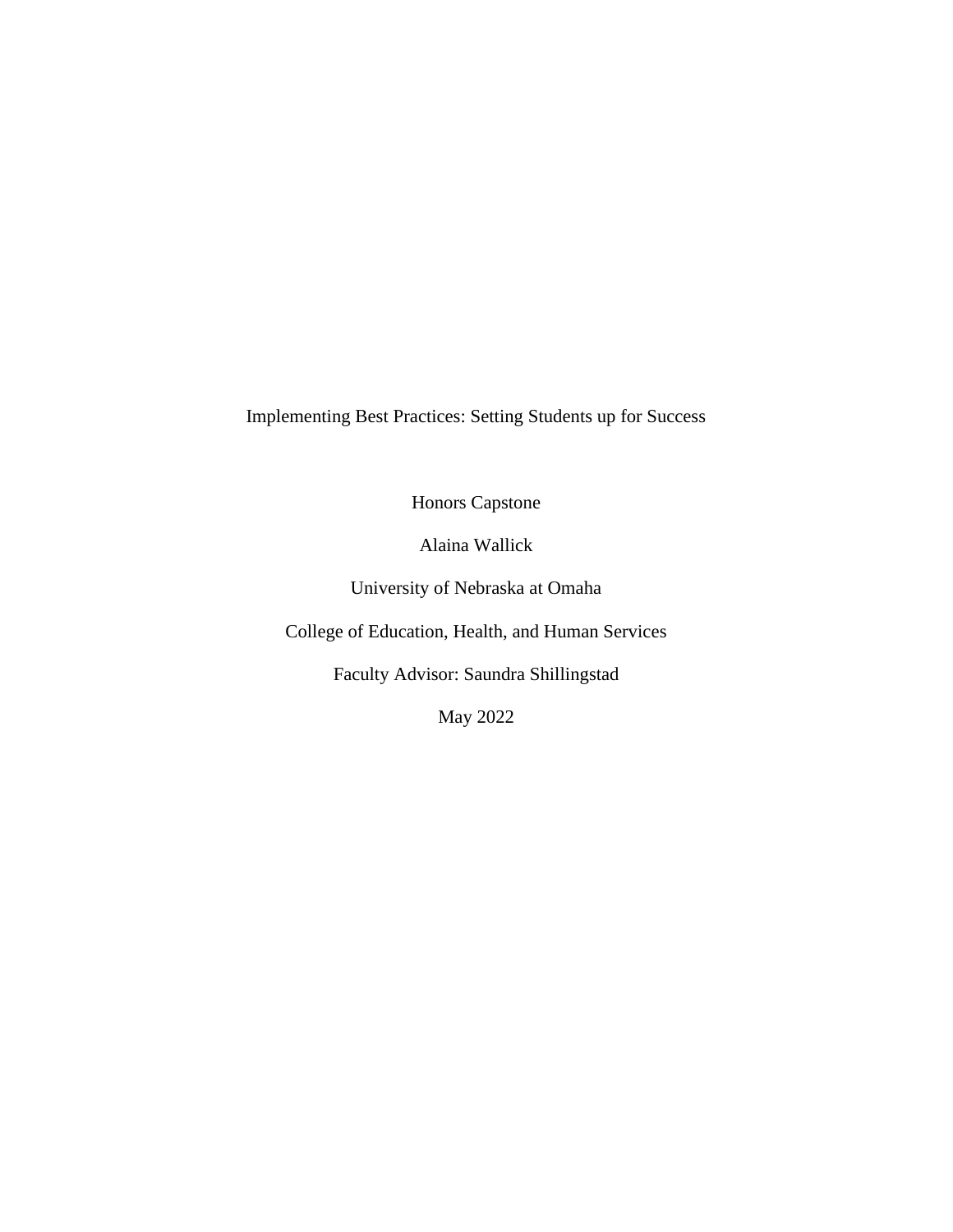Implementing Best Practices: Setting Students up for Success

Honors Capstone

Alaina Wallick

University of Nebraska at Omaha

College of Education, Health, and Human Services

Faculty Advisor: Saundra Shillingstad

May 2022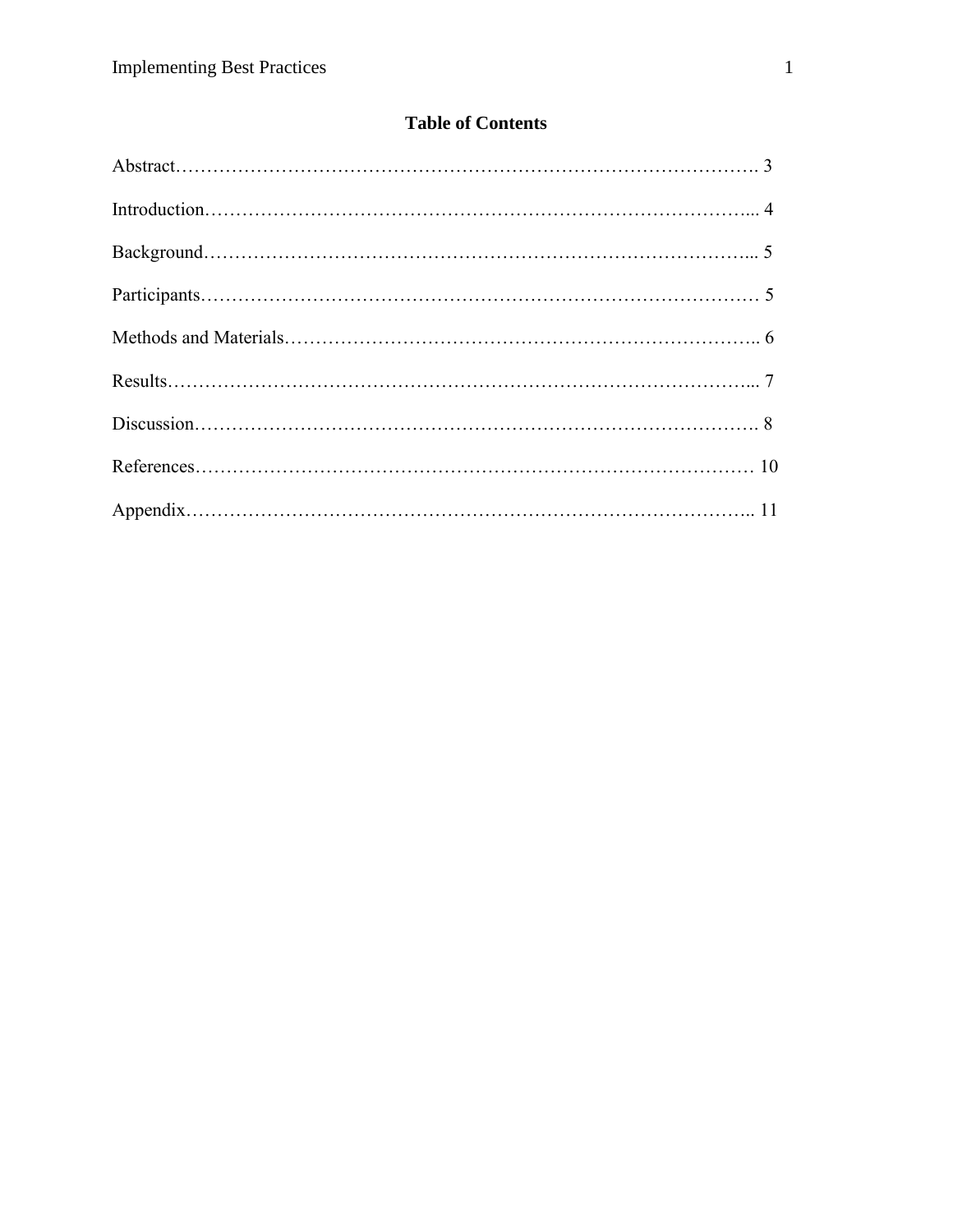# **Table of Contents**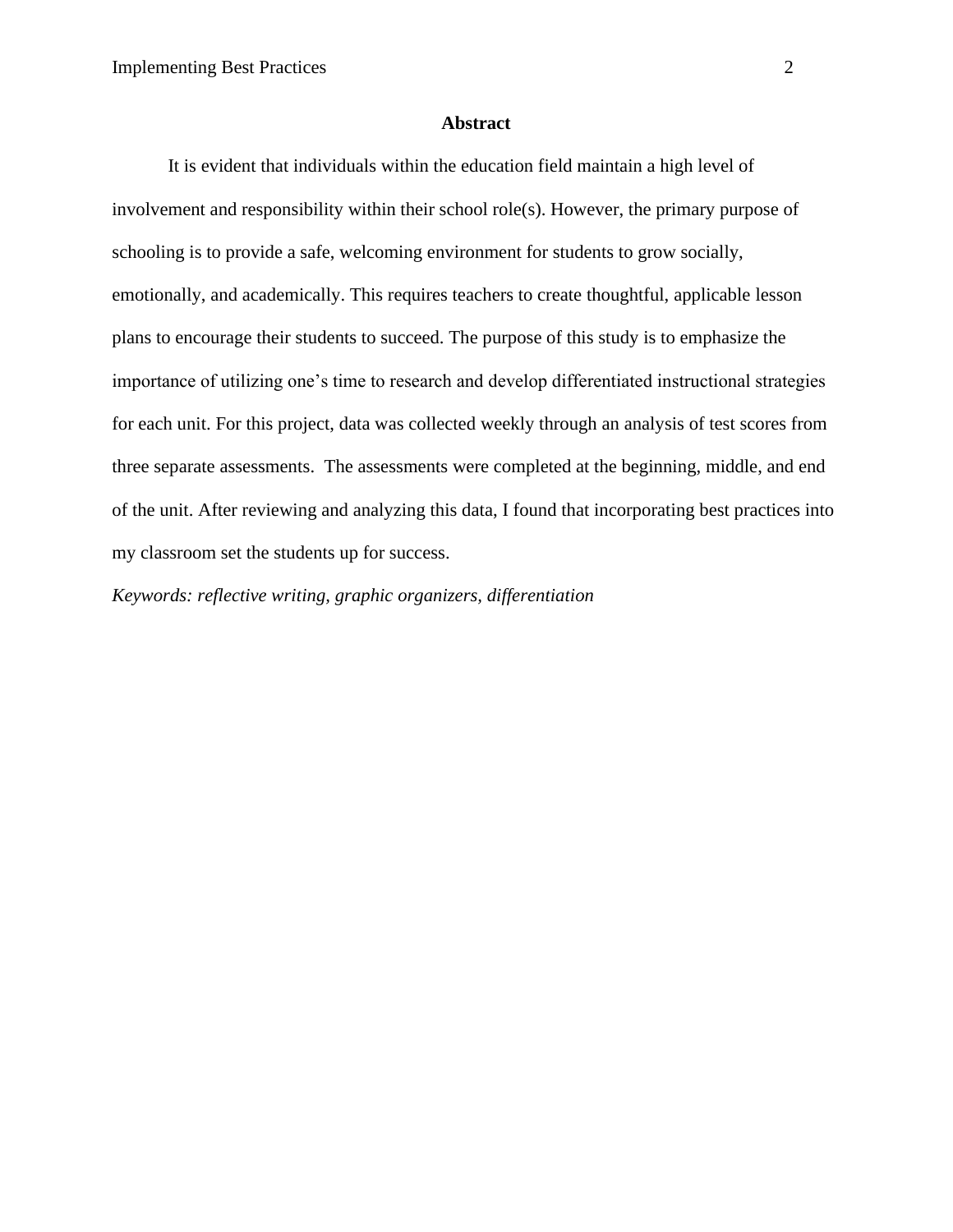#### **Abstract**

It is evident that individuals within the education field maintain a high level of involvement and responsibility within their school role(s). However, the primary purpose of schooling is to provide a safe, welcoming environment for students to grow socially, emotionally, and academically. This requires teachers to create thoughtful, applicable lesson plans to encourage their students to succeed. The purpose of this study is to emphasize the importance of utilizing one's time to research and develop differentiated instructional strategies for each unit. For this project, data was collected weekly through an analysis of test scores from three separate assessments. The assessments were completed at the beginning, middle, and end of the unit. After reviewing and analyzing this data, I found that incorporating best practices into my classroom set the students up for success.

*Keywords: reflective writing, graphic organizers, differentiation*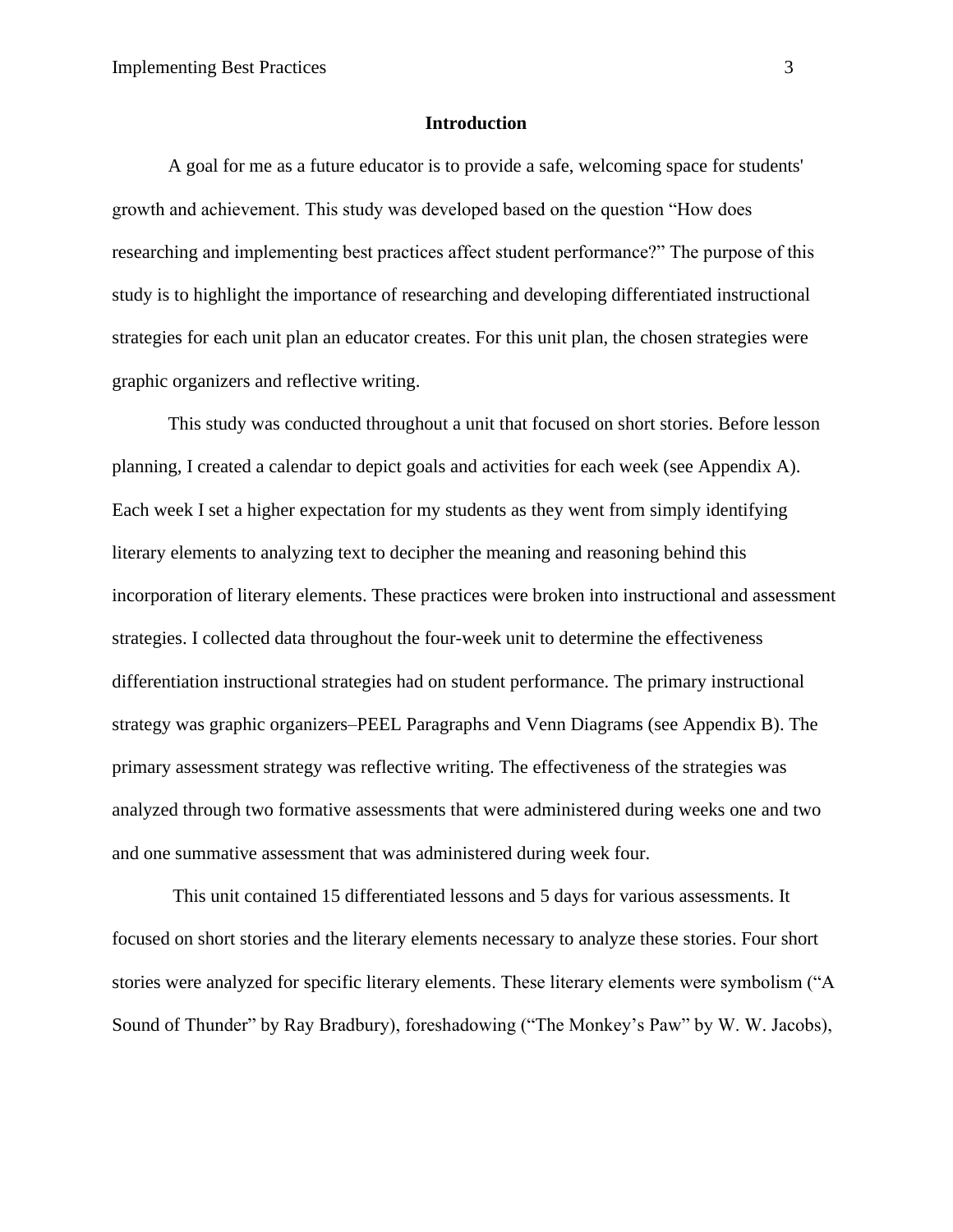## **Introduction**

A goal for me as a future educator is to provide a safe, welcoming space for students' growth and achievement. This study was developed based on the question "How does researching and implementing best practices affect student performance?" The purpose of this study is to highlight the importance of researching and developing differentiated instructional strategies for each unit plan an educator creates. For this unit plan, the chosen strategies were graphic organizers and reflective writing.

This study was conducted throughout a unit that focused on short stories. Before lesson planning, I created a calendar to depict goals and activities for each week (see Appendix A). Each week I set a higher expectation for my students as they went from simply identifying literary elements to analyzing text to decipher the meaning and reasoning behind this incorporation of literary elements. These practices were broken into instructional and assessment strategies. I collected data throughout the four-week unit to determine the effectiveness differentiation instructional strategies had on student performance. The primary instructional strategy was graphic organizers–PEEL Paragraphs and Venn Diagrams (see Appendix B). The primary assessment strategy was reflective writing. The effectiveness of the strategies was analyzed through two formative assessments that were administered during weeks one and two and one summative assessment that was administered during week four.

This unit contained 15 differentiated lessons and 5 days for various assessments. It focused on short stories and the literary elements necessary to analyze these stories. Four short stories were analyzed for specific literary elements. These literary elements were symbolism ("A Sound of Thunder" by Ray Bradbury), foreshadowing ("The Monkey's Paw" by W. W. Jacobs),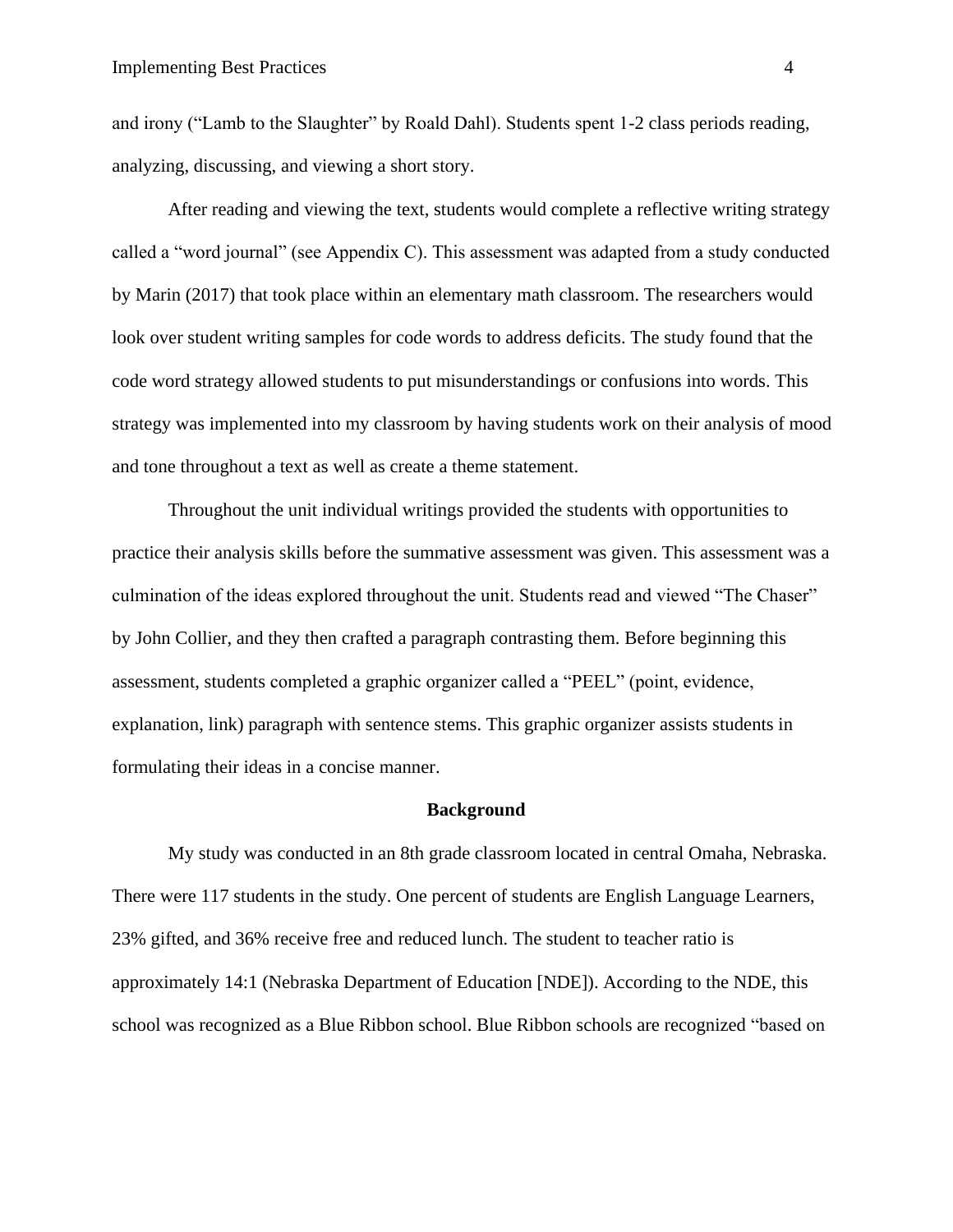and irony ("Lamb to the Slaughter" by Roald Dahl). Students spent 1-2 class periods reading, analyzing, discussing, and viewing a short story.

After reading and viewing the text, students would complete a reflective writing strategy called a "word journal" (see Appendix C). This assessment was adapted from a study conducted by Marin (2017) that took place within an elementary math classroom. The researchers would look over student writing samples for code words to address deficits. The study found that the code word strategy allowed students to put misunderstandings or confusions into words. This strategy was implemented into my classroom by having students work on their analysis of mood and tone throughout a text as well as create a theme statement.

Throughout the unit individual writings provided the students with opportunities to practice their analysis skills before the summative assessment was given. This assessment was a culmination of the ideas explored throughout the unit. Students read and viewed "The Chaser" by John Collier, and they then crafted a paragraph contrasting them. Before beginning this assessment, students completed a graphic organizer called a "PEEL" (point, evidence, explanation, link) paragraph with sentence stems. This graphic organizer assists students in formulating their ideas in a concise manner.

#### **Background**

My study was conducted in an 8th grade classroom located in central Omaha, Nebraska. There were 117 students in the study. One percent of students are English Language Learners, 23% gifted, and 36% receive free and reduced lunch. The student to teacher ratio is approximately 14:1 (Nebraska Department of Education [NDE]). According to the NDE, this school was recognized as a Blue Ribbon school. Blue Ribbon schools are recognized "based on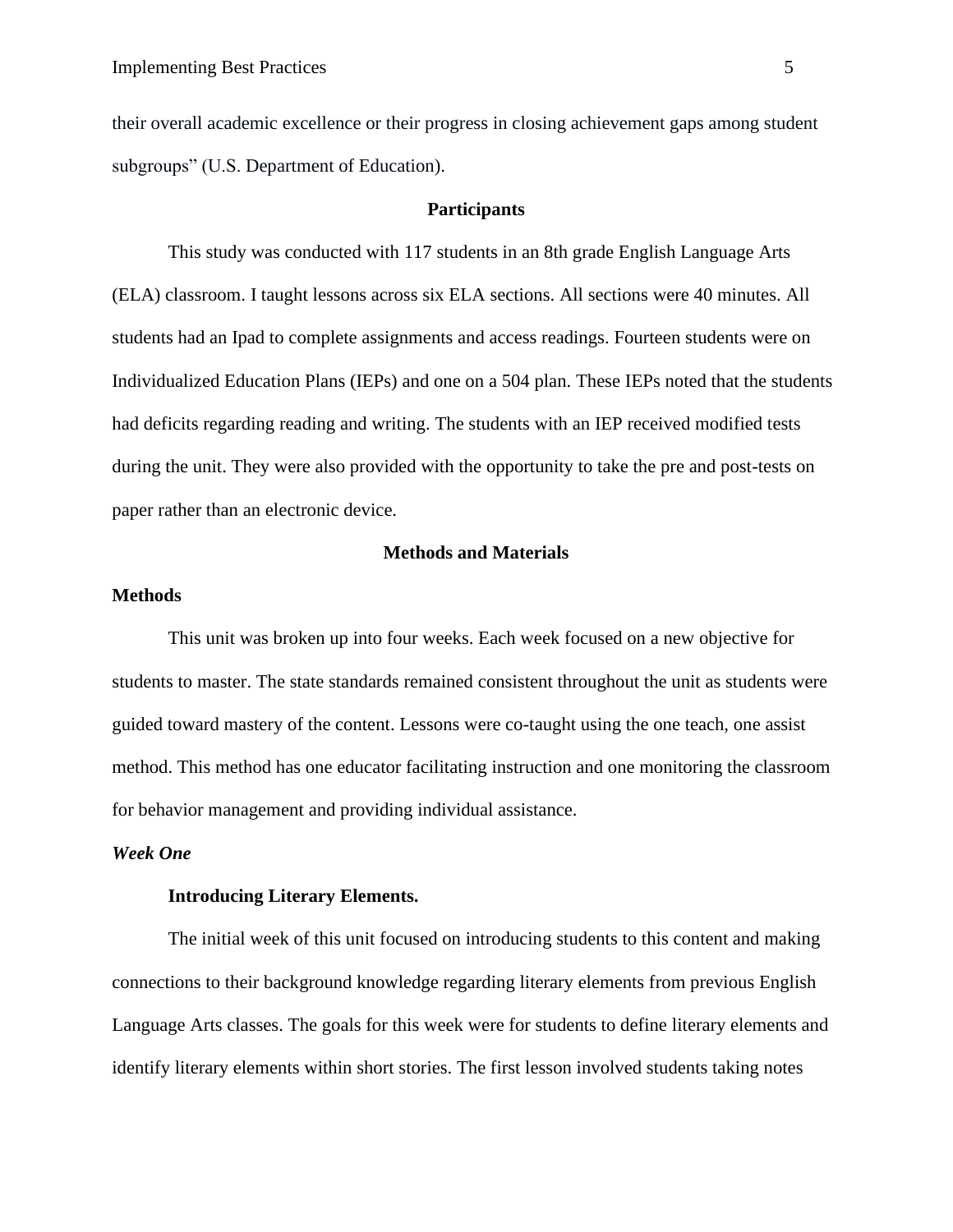their overall academic excellence or their progress in closing achievement gaps among student subgroups" (U.S. Department of Education).

## **Participants**

This study was conducted with 117 students in an 8th grade English Language Arts (ELA) classroom. I taught lessons across six ELA sections. All sections were 40 minutes. All students had an Ipad to complete assignments and access readings. Fourteen students were on Individualized Education Plans (IEPs) and one on a 504 plan. These IEPs noted that the students had deficits regarding reading and writing. The students with an IEP received modified tests during the unit. They were also provided with the opportunity to take the pre and post-tests on paper rather than an electronic device.

#### **Methods and Materials**

## **Methods**

This unit was broken up into four weeks. Each week focused on a new objective for students to master. The state standards remained consistent throughout the unit as students were guided toward mastery of the content. Lessons were co-taught using the one teach, one assist method. This method has one educator facilitating instruction and one monitoring the classroom for behavior management and providing individual assistance.

# *Week One*

## **Introducing Literary Elements.**

The initial week of this unit focused on introducing students to this content and making connections to their background knowledge regarding literary elements from previous English Language Arts classes. The goals for this week were for students to define literary elements and identify literary elements within short stories. The first lesson involved students taking notes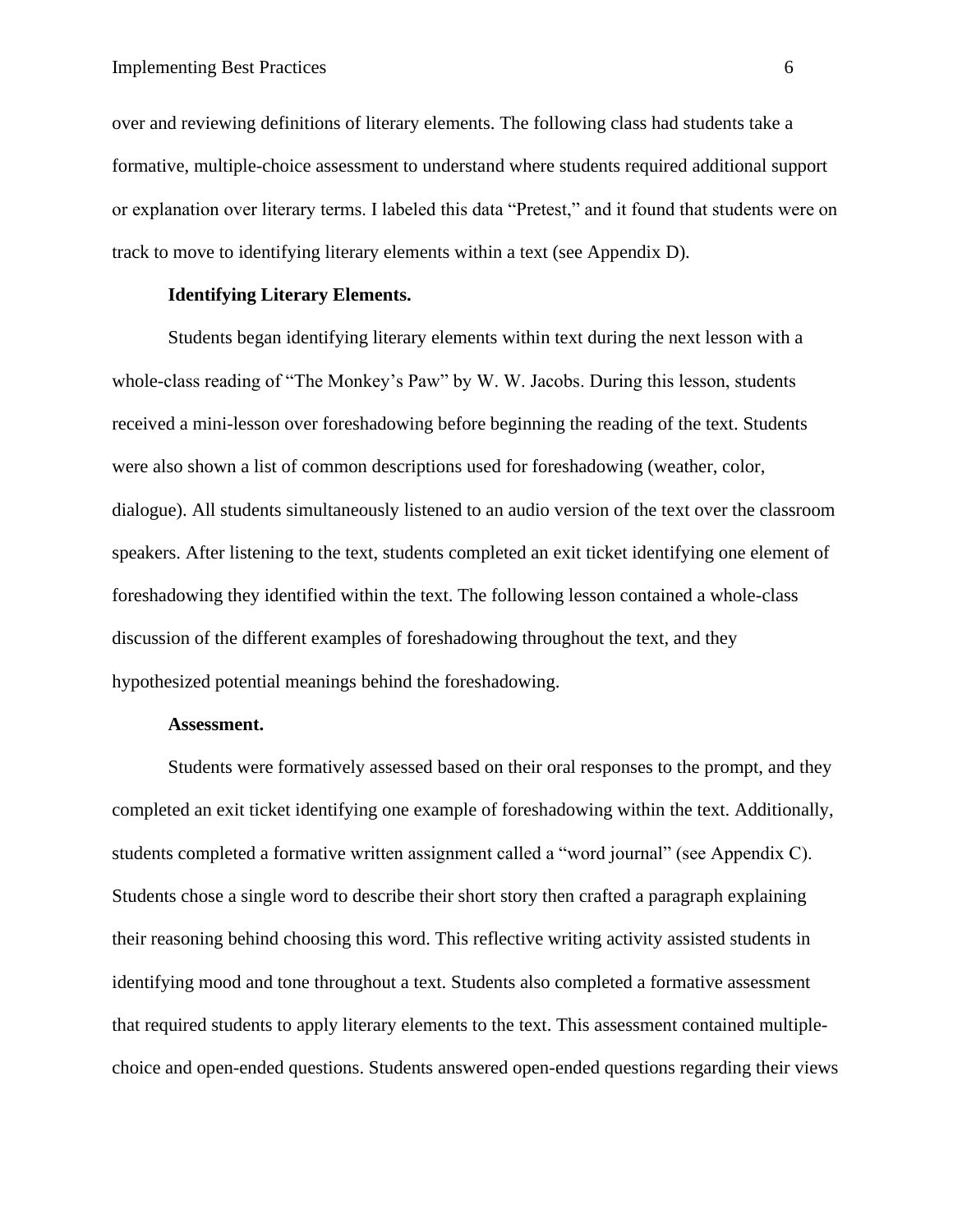over and reviewing definitions of literary elements. The following class had students take a formative, multiple-choice assessment to understand where students required additional support or explanation over literary terms. I labeled this data "Pretest," and it found that students were on track to move to identifying literary elements within a text (see Appendix D).

# **Identifying Literary Elements.**

Students began identifying literary elements within text during the next lesson with a whole-class reading of "The Monkey's Paw" by W. W. Jacobs. During this lesson, students received a mini-lesson over foreshadowing before beginning the reading of the text. Students were also shown a list of common descriptions used for foreshadowing (weather, color, dialogue). All students simultaneously listened to an audio version of the text over the classroom speakers. After listening to the text, students completed an exit ticket identifying one element of foreshadowing they identified within the text. The following lesson contained a whole-class discussion of the different examples of foreshadowing throughout the text, and they hypothesized potential meanings behind the foreshadowing.

# **Assessment.**

Students were formatively assessed based on their oral responses to the prompt, and they completed an exit ticket identifying one example of foreshadowing within the text. Additionally, students completed a formative written assignment called a "word journal" (see Appendix C). Students chose a single word to describe their short story then crafted a paragraph explaining their reasoning behind choosing this word. This reflective writing activity assisted students in identifying mood and tone throughout a text. Students also completed a formative assessment that required students to apply literary elements to the text. This assessment contained multiplechoice and open-ended questions. Students answered open-ended questions regarding their views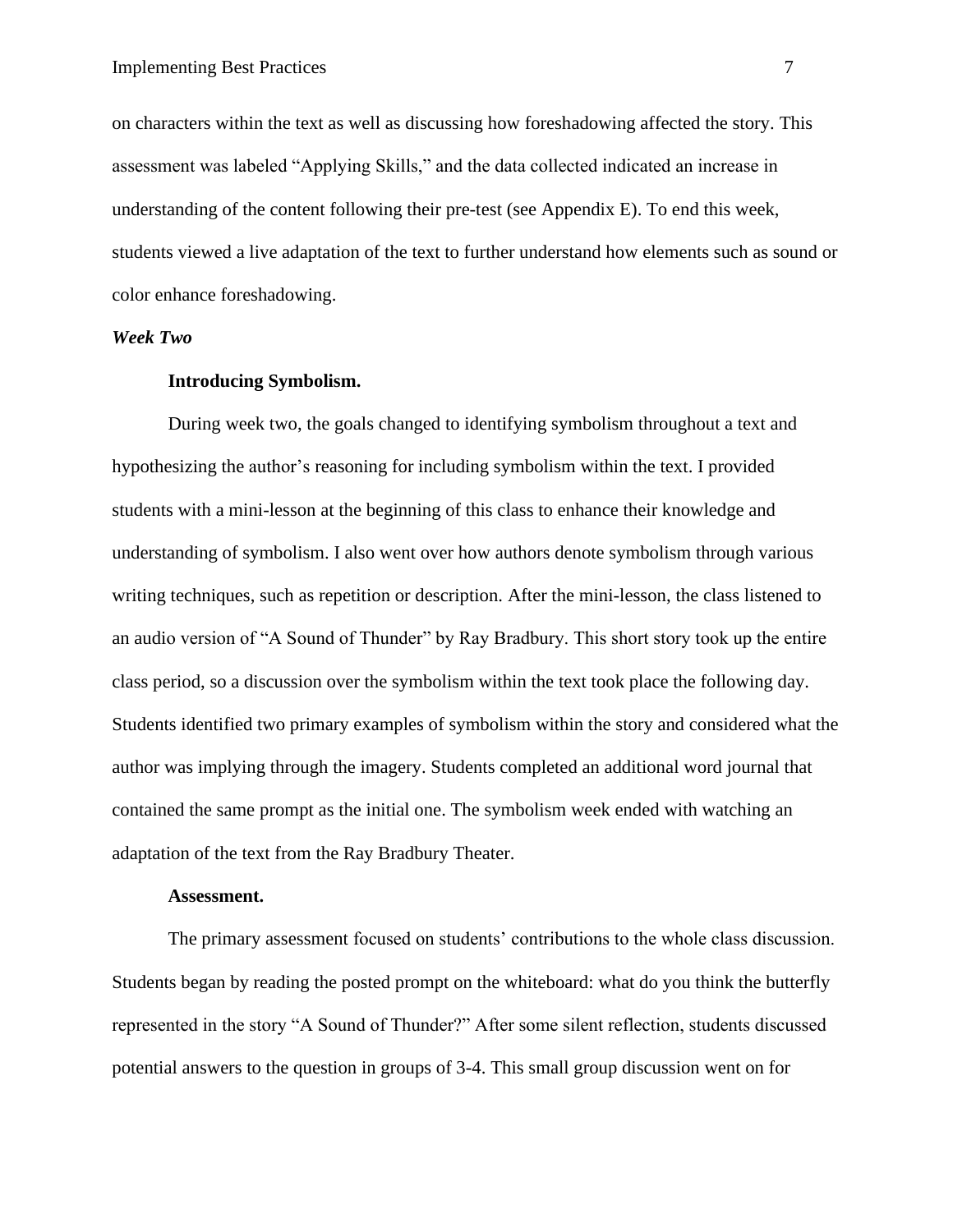on characters within the text as well as discussing how foreshadowing affected the story. This assessment was labeled "Applying Skills," and the data collected indicated an increase in understanding of the content following their pre-test (see Appendix E). To end this week, students viewed a live adaptation of the text to further understand how elements such as sound or color enhance foreshadowing.

#### *Week Two*

## **Introducing Symbolism.**

During week two, the goals changed to identifying symbolism throughout a text and hypothesizing the author's reasoning for including symbolism within the text. I provided students with a mini-lesson at the beginning of this class to enhance their knowledge and understanding of symbolism. I also went over how authors denote symbolism through various writing techniques, such as repetition or description. After the mini-lesson, the class listened to an audio version of "A Sound of Thunder" by Ray Bradbury. This short story took up the entire class period, so a discussion over the symbolism within the text took place the following day. Students identified two primary examples of symbolism within the story and considered what the author was implying through the imagery. Students completed an additional word journal that contained the same prompt as the initial one. The symbolism week ended with watching an adaptation of the text from the Ray Bradbury Theater.

#### **Assessment.**

The primary assessment focused on students' contributions to the whole class discussion. Students began by reading the posted prompt on the whiteboard: what do you think the butterfly represented in the story "A Sound of Thunder?" After some silent reflection, students discussed potential answers to the question in groups of 3-4. This small group discussion went on for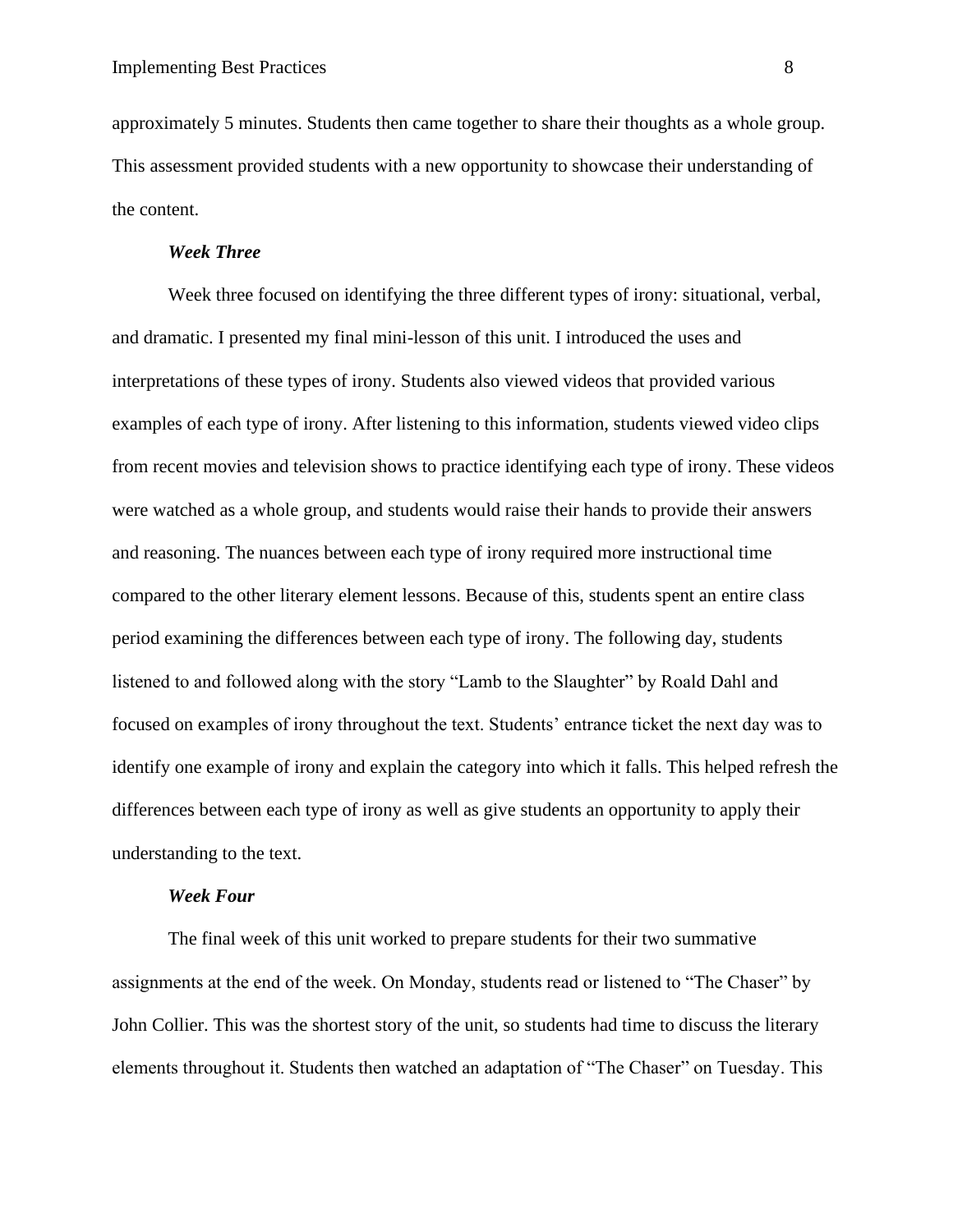approximately 5 minutes. Students then came together to share their thoughts as a whole group. This assessment provided students with a new opportunity to showcase their understanding of the content.

#### *Week Three*

Week three focused on identifying the three different types of irony: situational, verbal, and dramatic. I presented my final mini-lesson of this unit. I introduced the uses and interpretations of these types of irony. Students also viewed videos that provided various examples of each type of irony. After listening to this information, students viewed video clips from recent movies and television shows to practice identifying each type of irony. These videos were watched as a whole group, and students would raise their hands to provide their answers and reasoning. The nuances between each type of irony required more instructional time compared to the other literary element lessons. Because of this, students spent an entire class period examining the differences between each type of irony. The following day, students listened to and followed along with the story "Lamb to the Slaughter" by Roald Dahl and focused on examples of irony throughout the text. Students' entrance ticket the next day was to identify one example of irony and explain the category into which it falls. This helped refresh the differences between each type of irony as well as give students an opportunity to apply their understanding to the text.

#### *Week Four*

The final week of this unit worked to prepare students for their two summative assignments at the end of the week. On Monday, students read or listened to "The Chaser" by John Collier. This was the shortest story of the unit, so students had time to discuss the literary elements throughout it. Students then watched an adaptation of "The Chaser" on Tuesday. This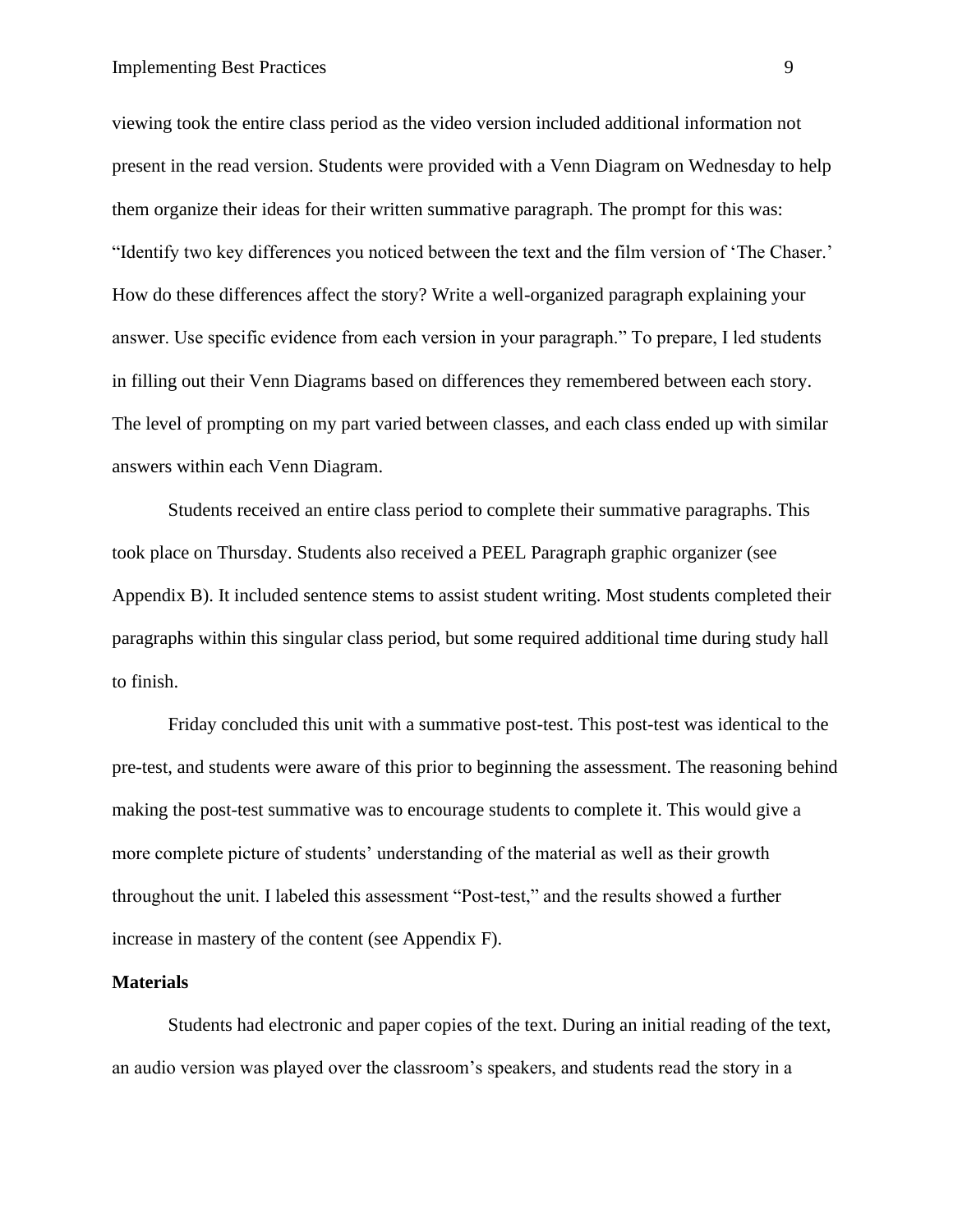# Implementing Best Practices 9

viewing took the entire class period as the video version included additional information not present in the read version. Students were provided with a Venn Diagram on Wednesday to help them organize their ideas for their written summative paragraph. The prompt for this was: "Identify two key differences you noticed between the text and the film version of 'The Chaser.' How do these differences affect the story? Write a well-organized paragraph explaining your answer. Use specific evidence from each version in your paragraph." To prepare, I led students in filling out their Venn Diagrams based on differences they remembered between each story. The level of prompting on my part varied between classes, and each class ended up with similar answers within each Venn Diagram.

Students received an entire class period to complete their summative paragraphs. This took place on Thursday. Students also received a PEEL Paragraph graphic organizer (see Appendix B). It included sentence stems to assist student writing. Most students completed their paragraphs within this singular class period, but some required additional time during study hall to finish.

Friday concluded this unit with a summative post-test. This post-test was identical to the pre-test, and students were aware of this prior to beginning the assessment. The reasoning behind making the post-test summative was to encourage students to complete it. This would give a more complete picture of students' understanding of the material as well as their growth throughout the unit. I labeled this assessment "Post-test," and the results showed a further increase in mastery of the content (see Appendix F).

#### **Materials**

Students had electronic and paper copies of the text. During an initial reading of the text, an audio version was played over the classroom's speakers, and students read the story in a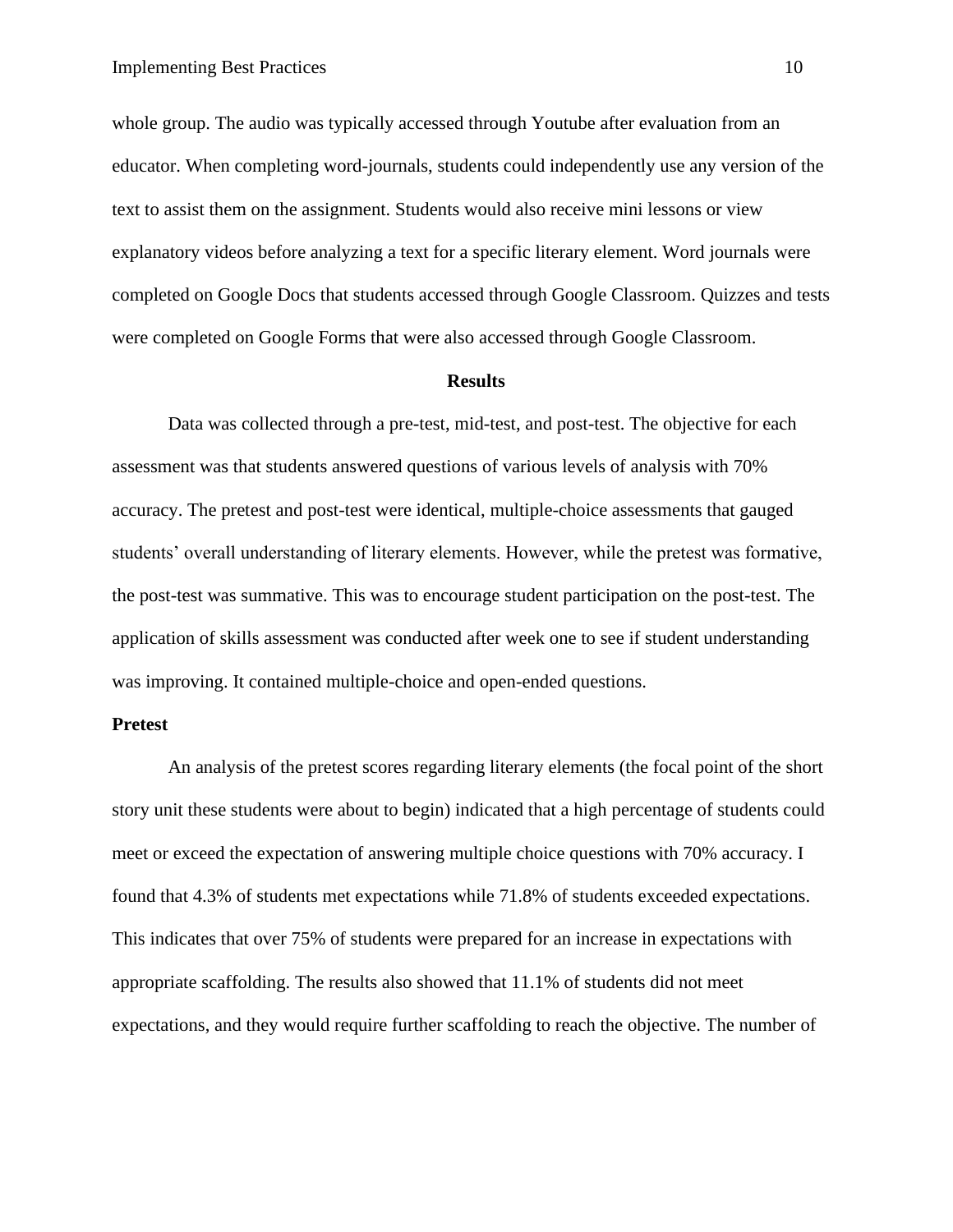whole group. The audio was typically accessed through Youtube after evaluation from an educator. When completing word-journals, students could independently use any version of the text to assist them on the assignment. Students would also receive mini lessons or view explanatory videos before analyzing a text for a specific literary element. Word journals were completed on Google Docs that students accessed through Google Classroom. Quizzes and tests were completed on Google Forms that were also accessed through Google Classroom.

#### **Results**

Data was collected through a pre-test, mid-test, and post-test. The objective for each assessment was that students answered questions of various levels of analysis with 70% accuracy. The pretest and post-test were identical, multiple-choice assessments that gauged students' overall understanding of literary elements. However, while the pretest was formative, the post-test was summative. This was to encourage student participation on the post-test. The application of skills assessment was conducted after week one to see if student understanding was improving. It contained multiple-choice and open-ended questions.

## **Pretest**

An analysis of the pretest scores regarding literary elements (the focal point of the short story unit these students were about to begin) indicated that a high percentage of students could meet or exceed the expectation of answering multiple choice questions with 70% accuracy. I found that 4.3% of students met expectations while 71.8% of students exceeded expectations. This indicates that over 75% of students were prepared for an increase in expectations with appropriate scaffolding. The results also showed that 11.1% of students did not meet expectations, and they would require further scaffolding to reach the objective. The number of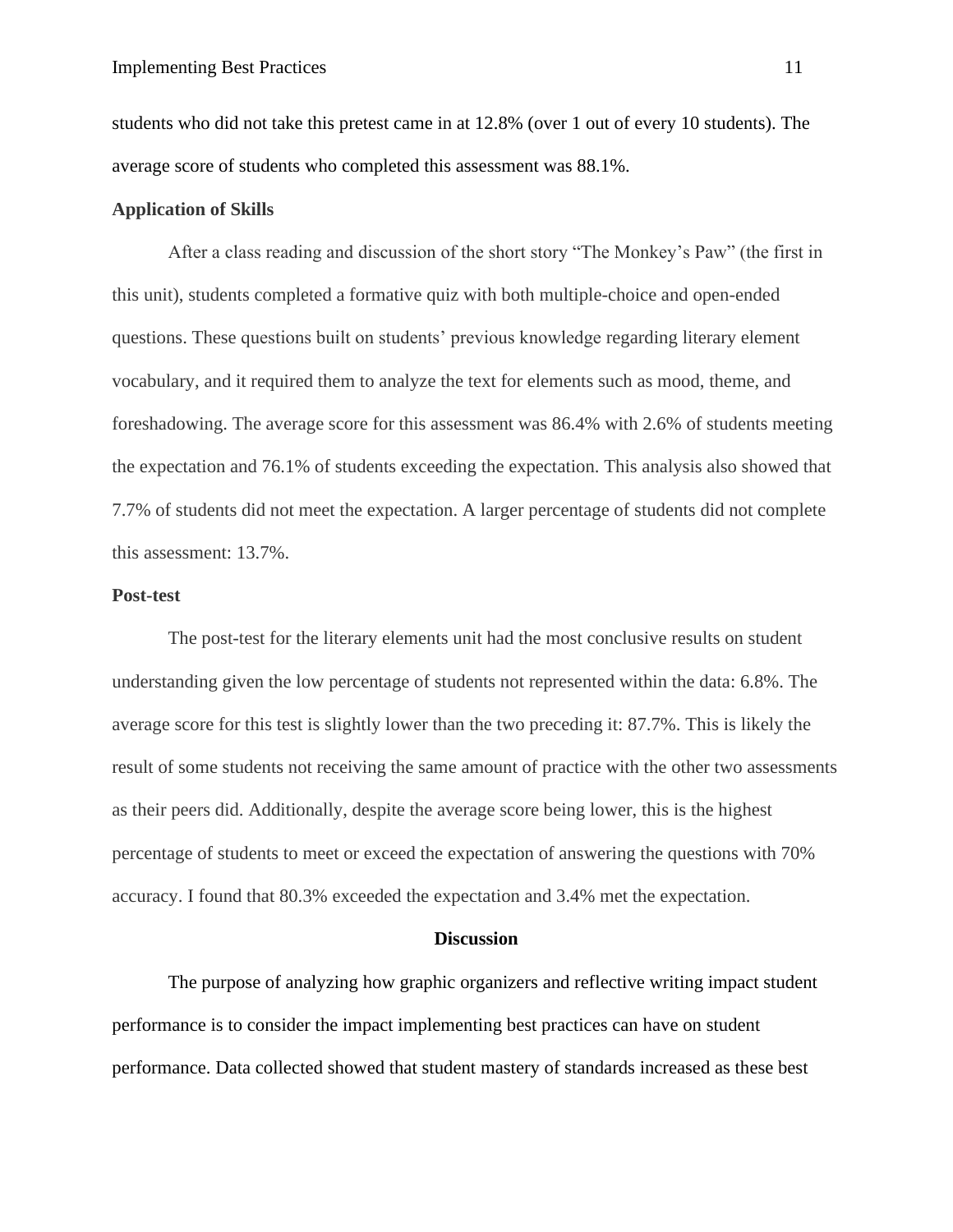students who did not take this pretest came in at 12.8% (over 1 out of every 10 students). The average score of students who completed this assessment was 88.1%.

# **Application of Skills**

After a class reading and discussion of the short story "The Monkey's Paw" (the first in this unit), students completed a formative quiz with both multiple-choice and open-ended questions. These questions built on students' previous knowledge regarding literary element vocabulary, and it required them to analyze the text for elements such as mood, theme, and foreshadowing. The average score for this assessment was 86.4% with 2.6% of students meeting the expectation and 76.1% of students exceeding the expectation. This analysis also showed that 7.7% of students did not meet the expectation. A larger percentage of students did not complete this assessment: 13.7%.

## **Post-test**

The post-test for the literary elements unit had the most conclusive results on student understanding given the low percentage of students not represented within the data: 6.8%. The average score for this test is slightly lower than the two preceding it: 87.7%. This is likely the result of some students not receiving the same amount of practice with the other two assessments as their peers did. Additionally, despite the average score being lower, this is the highest percentage of students to meet or exceed the expectation of answering the questions with 70% accuracy. I found that 80.3% exceeded the expectation and 3.4% met the expectation.

#### **Discussion**

The purpose of analyzing how graphic organizers and reflective writing impact student performance is to consider the impact implementing best practices can have on student performance. Data collected showed that student mastery of standards increased as these best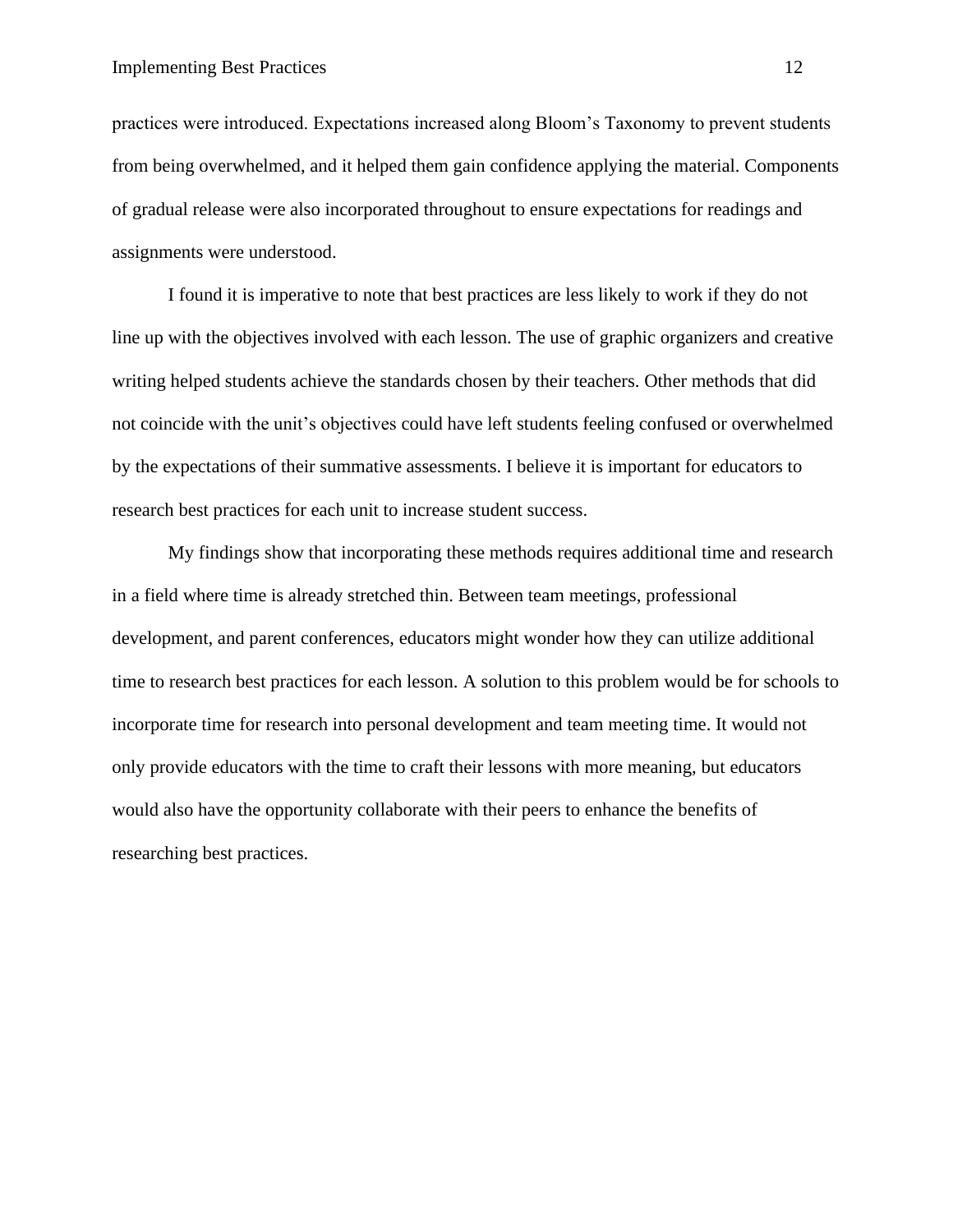practices were introduced. Expectations increased along Bloom's Taxonomy to prevent students from being overwhelmed, and it helped them gain confidence applying the material. Components of gradual release were also incorporated throughout to ensure expectations for readings and assignments were understood.

I found it is imperative to note that best practices are less likely to work if they do not line up with the objectives involved with each lesson. The use of graphic organizers and creative writing helped students achieve the standards chosen by their teachers. Other methods that did not coincide with the unit's objectives could have left students feeling confused or overwhelmed by the expectations of their summative assessments. I believe it is important for educators to research best practices for each unit to increase student success.

My findings show that incorporating these methods requires additional time and research in a field where time is already stretched thin. Between team meetings, professional development, and parent conferences, educators might wonder how they can utilize additional time to research best practices for each lesson. A solution to this problem would be for schools to incorporate time for research into personal development and team meeting time. It would not only provide educators with the time to craft their lessons with more meaning, but educators would also have the opportunity collaborate with their peers to enhance the benefits of researching best practices.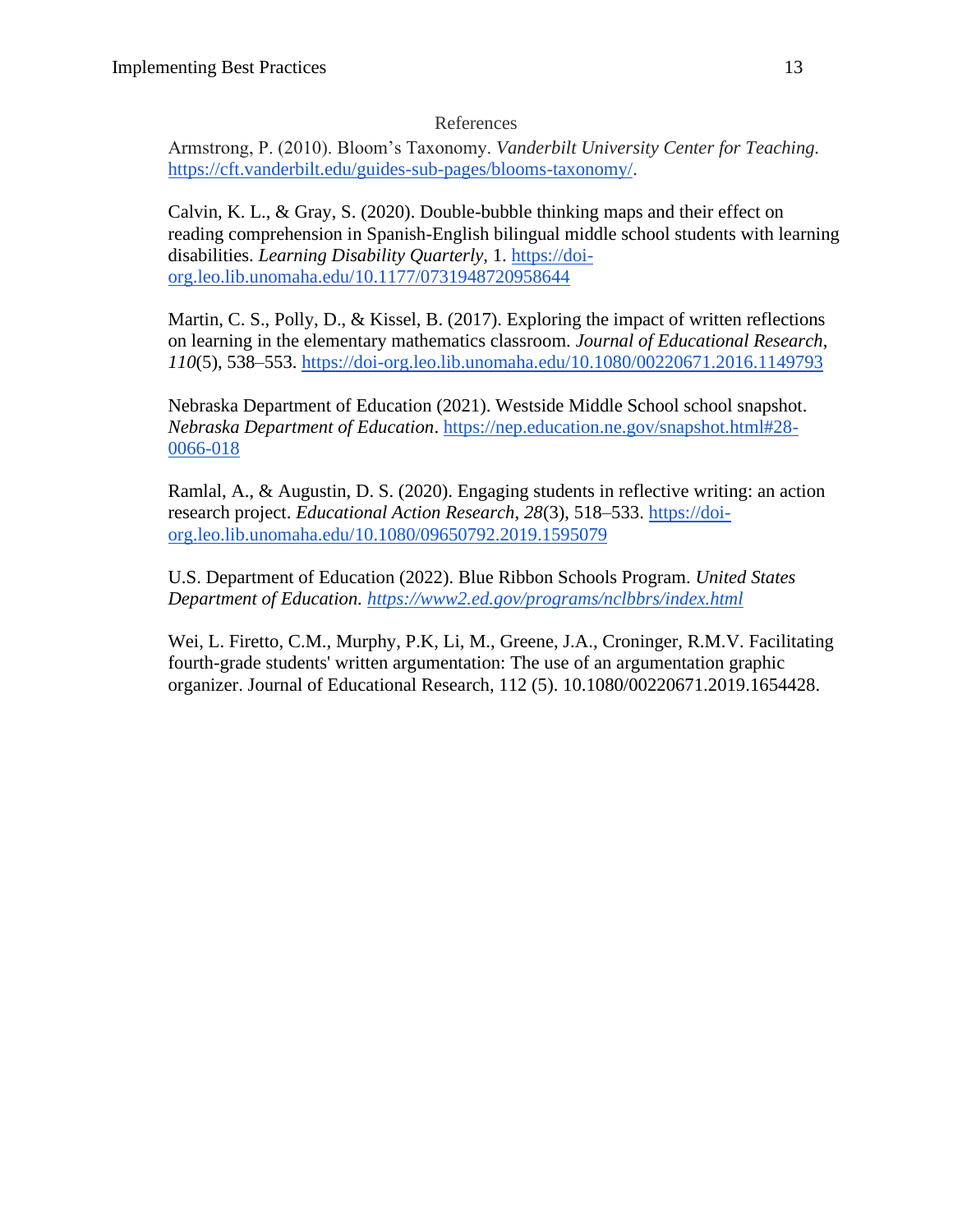# References

Armstrong, P. (2010). Bloom's Taxonomy. *Vanderbilt University Center for Teaching.*  [https://cft.vanderbilt.edu/guides-sub-pages/blooms-taxonomy/.](https://cft.vanderbilt.edu/guides-sub-pages/blooms-taxonomy/)

Calvin, K. L., & Gray, S. (2020). Double-bubble thinking maps and their effect on reading comprehension in Spanish-English bilingual middle school students with learning disabilities. *Learning Disability Quarterly,* 1. [https://doi](https://doi-org.leo.lib.unomaha.edu/10.1177/0731948720958644)[org.leo.lib.unomaha.edu/10.1177/0731948720958644](https://doi-org.leo.lib.unomaha.edu/10.1177/0731948720958644)

Martin, C. S., Polly, D., & Kissel, B. (2017). Exploring the impact of written reflections on learning in the elementary mathematics classroom. *Journal of Educational Research*, *110*(5), 538–553.<https://doi-org.leo.lib.unomaha.edu/10.1080/00220671.2016.1149793>

Nebraska Department of Education (2021). Westside Middle School school snapshot. *Nebraska Department of Education*. [https://nep.education.ne.gov/snapshot.html#28-](https://nep.education.ne.gov/snapshot.html#28-0066-018) [0066-018](https://nep.education.ne.gov/snapshot.html#28-0066-018)

Ramlal, A., & Augustin, D. S. (2020). Engaging students in reflective writing: an action research project. *Educational Action Research*, *28*(3), 518–533. [https://doi](https://doi-org.leo.lib.unomaha.edu/10.1080/09650792.2019.1595079)[org.leo.lib.unomaha.edu/10.1080/09650792.2019.1595079](https://doi-org.leo.lib.unomaha.edu/10.1080/09650792.2019.1595079)

U.S. Department of Education (2022). Blue Ribbon Schools Program. *United States Department of Education.<https://www2.ed.gov/programs/nclbbrs/index.html>*

Wei, L. Firetto, C.M., Murphy, P.K, Li, M., Greene, J.A., Croninger, R.M.V. Facilitating fourth-grade students' written argumentation: The use of an argumentation graphic organizer. Journal of Educational Research, 112 (5). 10.1080/00220671.2019.1654428.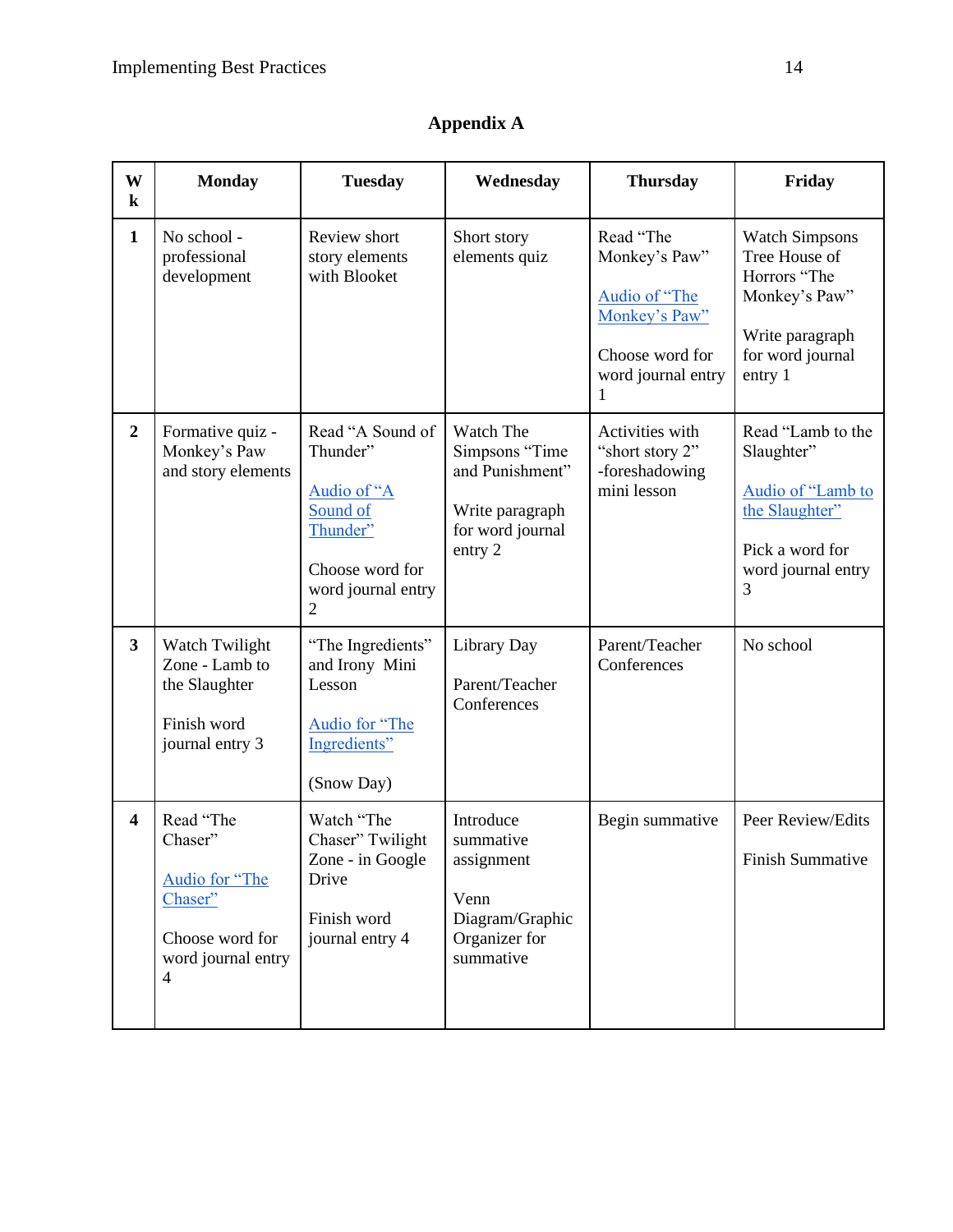| W<br>$\bf k$            | <b>Monday</b>                                                                                                | <b>Tuesday</b>                                                                                                    | Wednesday                                                                                        | <b>Thursday</b>                                                                                            | Friday                                                                                                                    |
|-------------------------|--------------------------------------------------------------------------------------------------------------|-------------------------------------------------------------------------------------------------------------------|--------------------------------------------------------------------------------------------------|------------------------------------------------------------------------------------------------------------|---------------------------------------------------------------------------------------------------------------------------|
| $\mathbf{1}$            | No school -<br>professional<br>development                                                                   | Review short<br>story elements<br>with Blooket                                                                    | Short story<br>elements quiz                                                                     | Read "The<br>Monkey's Paw"<br>Audio of "The<br>Monkey's Paw"<br>Choose word for<br>word journal entry<br>1 | <b>Watch Simpsons</b><br>Tree House of<br>Horrors "The<br>Monkey's Paw"<br>Write paragraph<br>for word journal<br>entry 1 |
| $\overline{2}$          | Formative quiz -<br>Monkey's Paw<br>and story elements                                                       | Read "A Sound of<br>Thunder"<br>Audio of "A<br>Sound of<br>Thunder"<br>Choose word for<br>word journal entry<br>2 | Watch The<br>Simpsons "Time<br>and Punishment"<br>Write paragraph<br>for word journal<br>entry 2 | Activities with<br>"short story 2"<br>-foreshadowing<br>mini lesson                                        | Read "Lamb to the<br>Slaughter"<br>Audio of "Lamb to<br>the Slaughter"<br>Pick a word for<br>word journal entry<br>3      |
| $\overline{\mathbf{3}}$ | Watch Twilight<br>Zone - Lamb to<br>the Slaughter<br>Finish word<br>journal entry 3                          | "The Ingredients"<br>and Irony Mini<br>Lesson<br>Audio for "The<br>Ingredients"<br>(Snow Day)                     | Library Day<br>Parent/Teacher<br>Conferences                                                     | Parent/Teacher<br>Conferences                                                                              | No school                                                                                                                 |
| $\overline{\mathbf{4}}$ | Read "The<br>Chaser"<br>Audio for "The<br>Chaser"<br>Choose word for<br>word journal entry<br>$\overline{4}$ | Watch "The<br>Chaser" Twilight<br>Zone - in Google<br>Drive<br>Finish word<br>journal entry 4                     | Introduce<br>summative<br>assignment<br>Venn<br>Diagram/Graphic<br>Organizer for<br>summative    | Begin summative                                                                                            | Peer Review/Edits<br>Finish Summative                                                                                     |

# **Appendix A**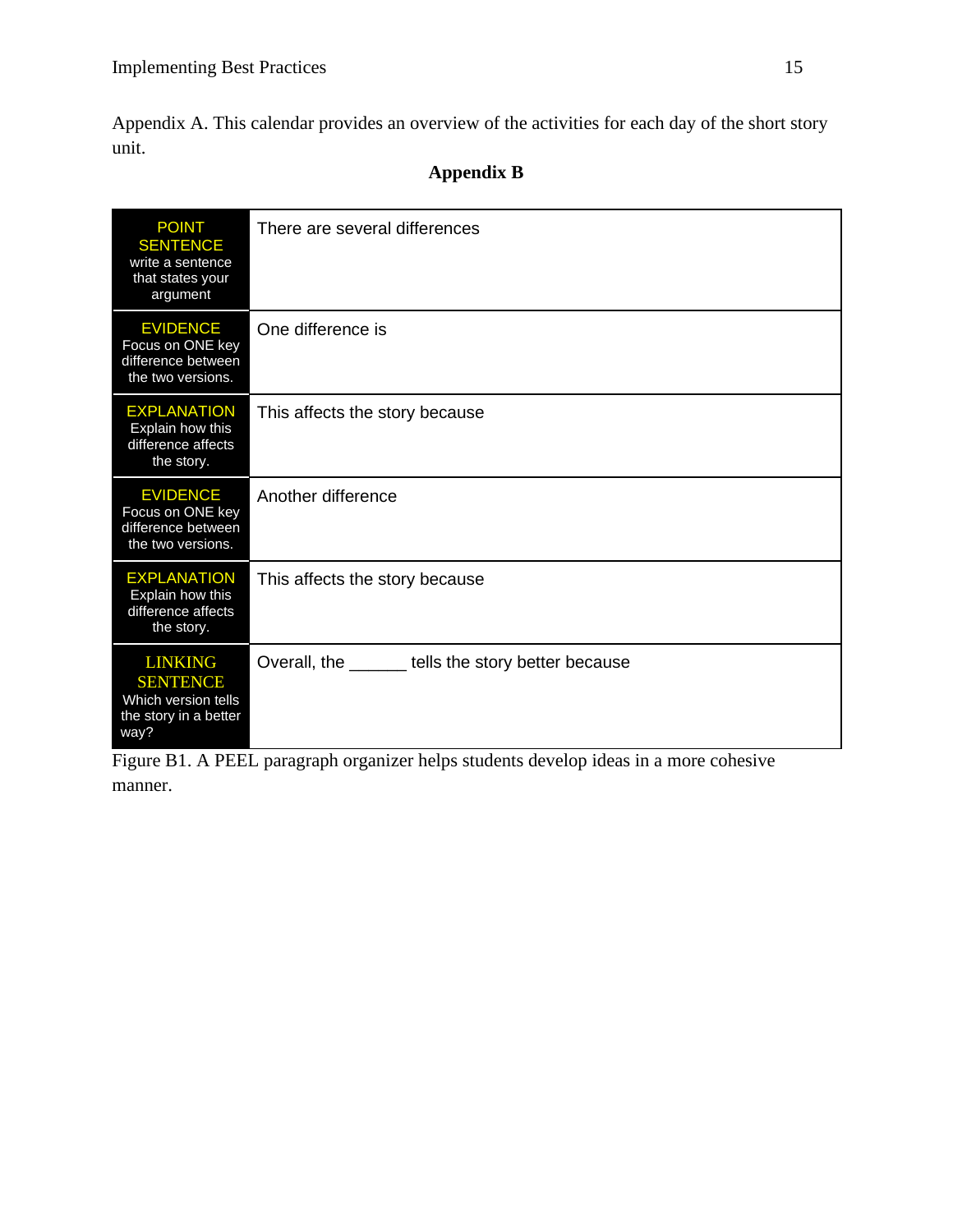Appendix A. This calendar provides an overview of the activities for each day of the short story unit.

# **Appendix B**

| <b>POINT</b><br><b>SENTENCE</b><br>write a sentence<br>that states your<br>argument       | There are several differences                       |
|-------------------------------------------------------------------------------------------|-----------------------------------------------------|
| <b>EVIDENCE</b><br>Focus on ONE key<br>difference between<br>the two versions.            | One difference is                                   |
| <b>EXPLANATION</b><br>Explain how this<br>difference affects<br>the story.                | This affects the story because                      |
| <b>EVIDENCE</b><br>Focus on ONE key<br>difference between<br>the two versions.            | Another difference                                  |
| <b>EXPLANATION</b><br>Explain how this<br>difference affects<br>the story.                | This affects the story because                      |
| <b>LINKING</b><br><b>SENTENCE</b><br>Which version tells<br>the story in a better<br>way? | Overall, the _______ tells the story better because |

Figure B1. A PEEL paragraph organizer helps students develop ideas in a more cohesive manner.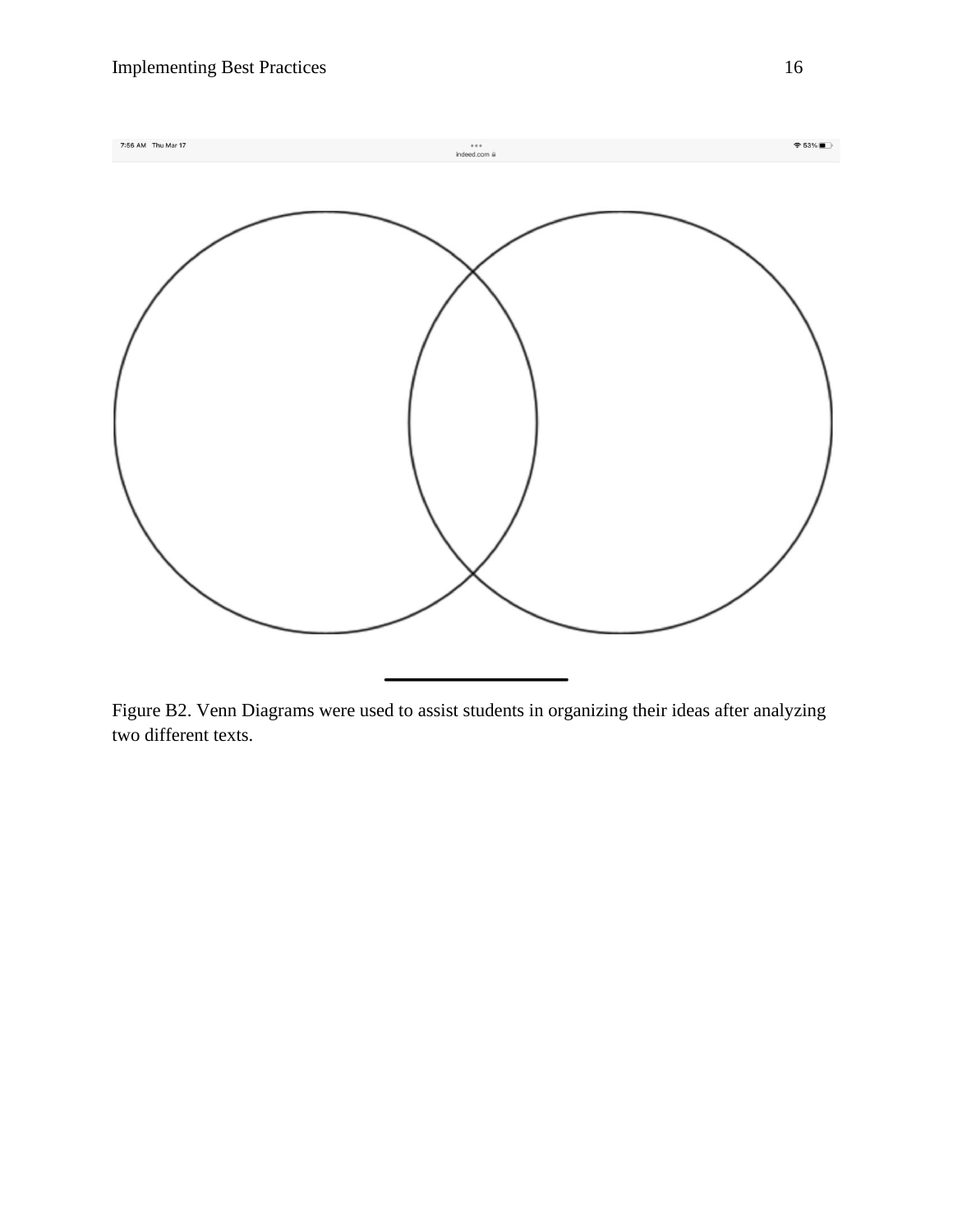

Figure B2. Venn Diagrams were used to assist students in organizing their ideas after analyzing two different texts.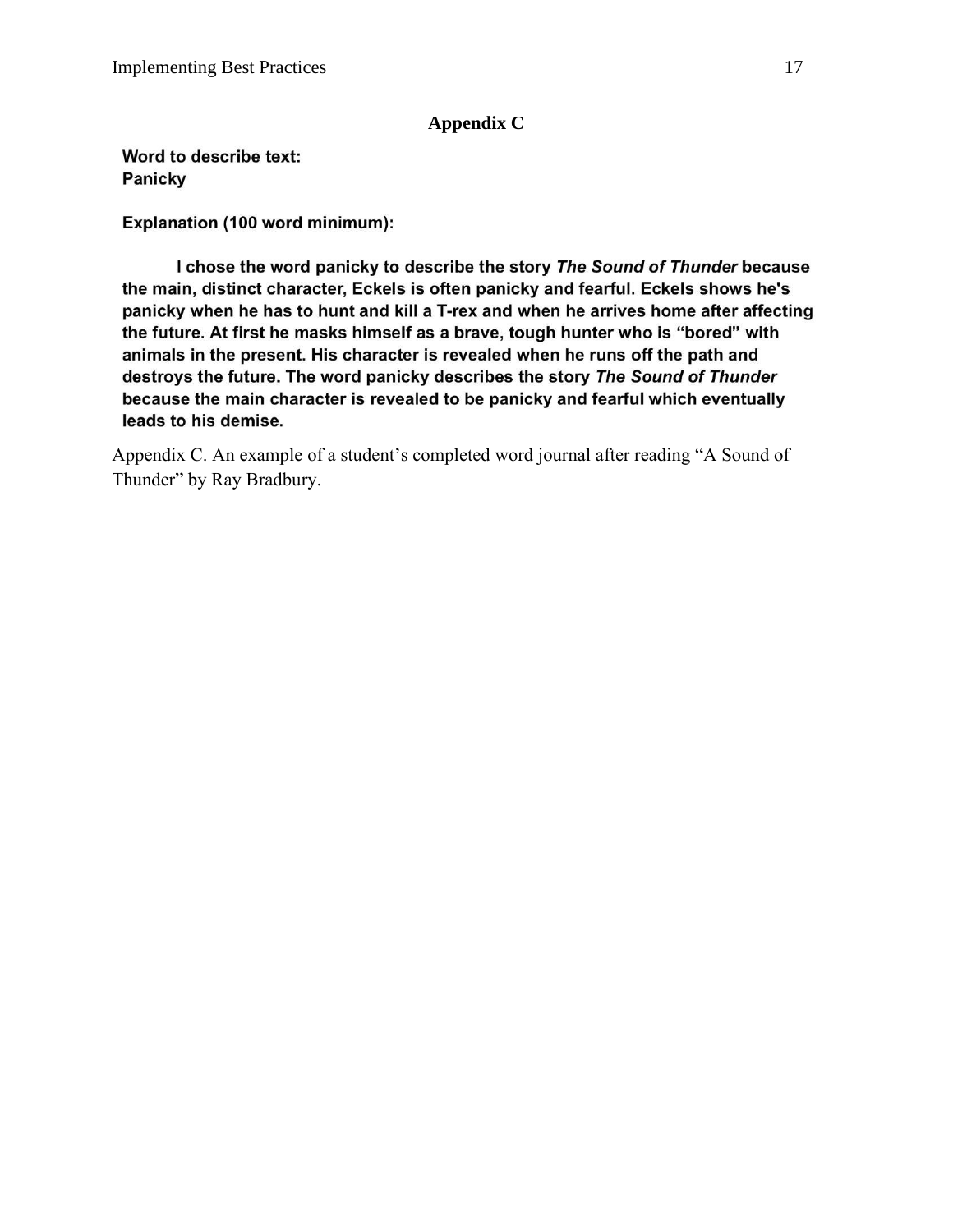# **Appendix C**

Word to describe text: Panicky

Explanation (100 word minimum):

I chose the word panicky to describe the story The Sound of Thunder because the main, distinct character, Eckels is often panicky and fearful. Eckels shows he's panicky when he has to hunt and kill a T-rex and when he arrives home after affecting the future. At first he masks himself as a brave, tough hunter who is "bored" with animals in the present. His character is revealed when he runs off the path and destroys the future. The word panicky describes the story The Sound of Thunder because the main character is revealed to be panicky and fearful which eventually leads to his demise.

Appendix C. An example of a student's completed word journal after reading "A Sound of Thunder" by Ray Bradbury.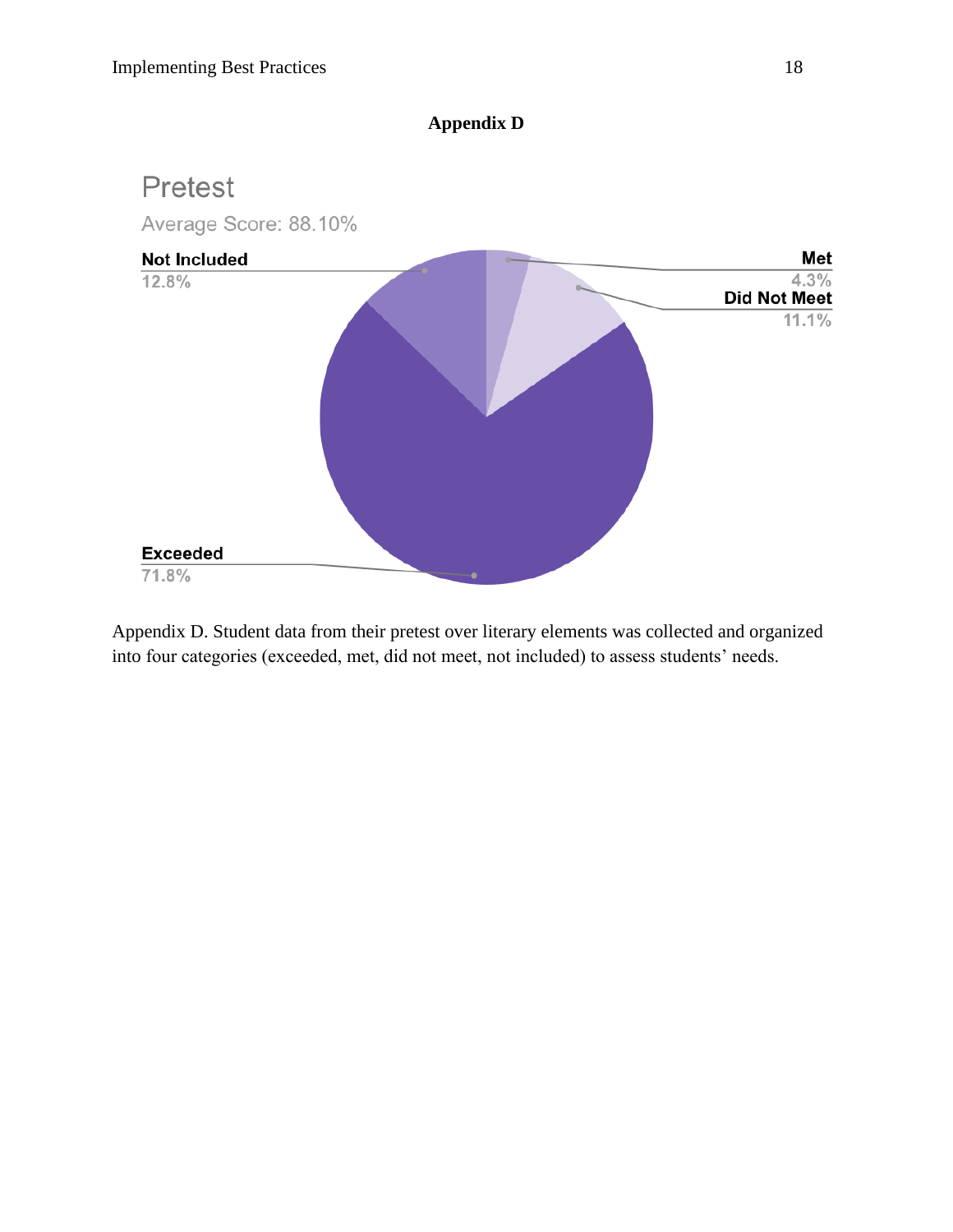# **Appendix D**



Appendix D. Student data from their pretest over literary elements was collected and organized into four categories (exceeded, met, did not meet, not included) to assess students' needs.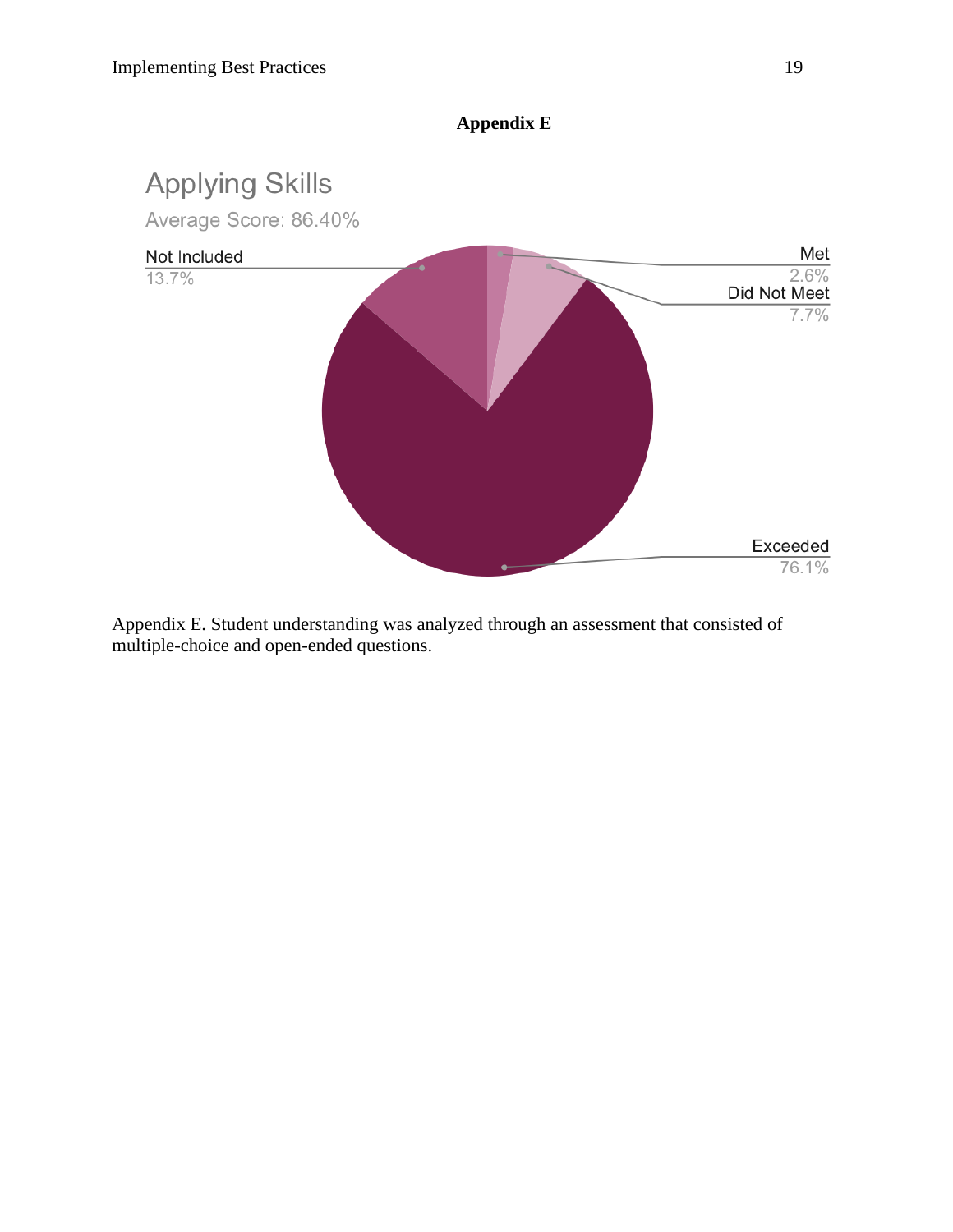

**Appendix E**

Appendix E. Student understanding was analyzed through an assessment that consisted of multiple-choice and open-ended questions.